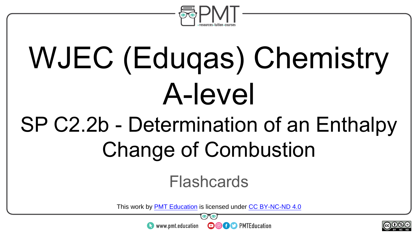

# WJEC (Eduqas) Chemistry A-level

### SP C2.2b - Determination of an Enthalpy Change of Combustion

#### Flashcards

This work by <u>PMT Education</u> is licensed under CC BY-NC-ND 4.0<br>
www.pmt.education **in the CO CO** PMTEducation

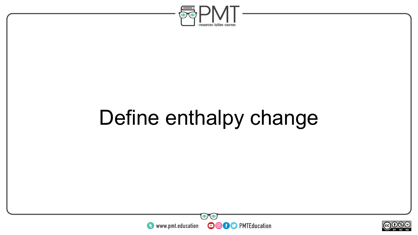

### Define enthalpy change



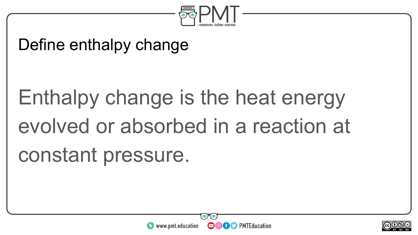

#### Define enthalpy change

# Enthalpy change is the heat energy evolved or absorbed in a reaction at constant pressure.



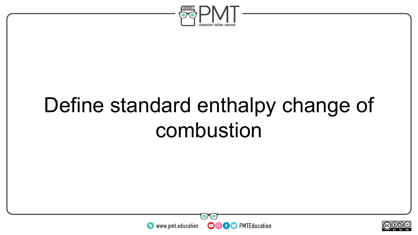

### Define standard enthalpy change of combustion



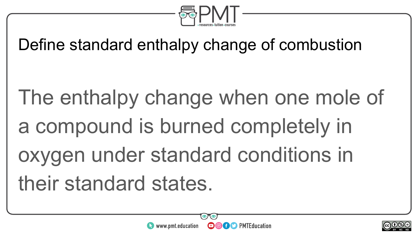

#### Define standard enthalpy change of combustion

The enthalpy change when one mole of a compound is burned completely in oxygen under standard conditions in their standard states.



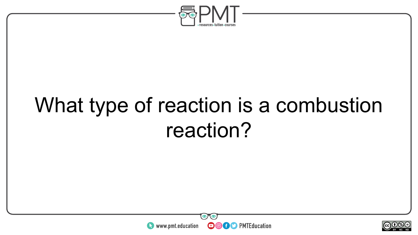

### What type of reaction is a combustion reaction?



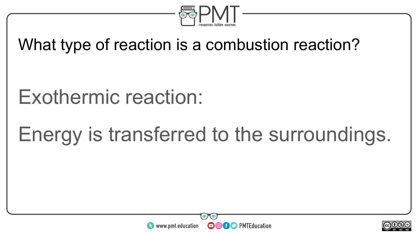

#### What type of reaction is a combustion reaction?

#### Exothermic reaction:

### Energy is transferred to the surroundings.



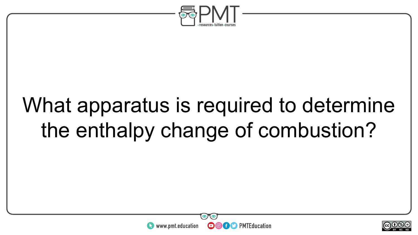

### What apparatus is required to determine the enthalpy change of combustion?



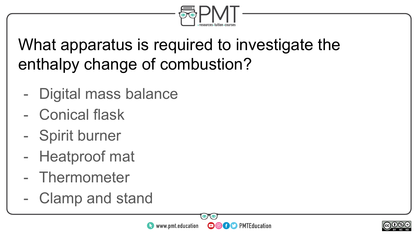

#### What apparatus is required to investigate the enthalpy change of combustion?

- Digital mass balance
- Conical flask
- Spirit burner
- Heatproof mat
- Thermometer
- Clamp and stand



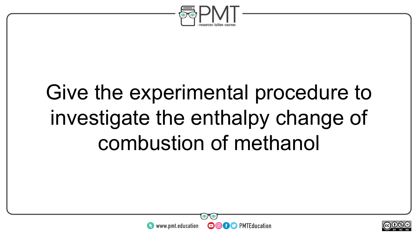

### Give the experimental procedure to investigate the enthalpy change of combustion of methanol



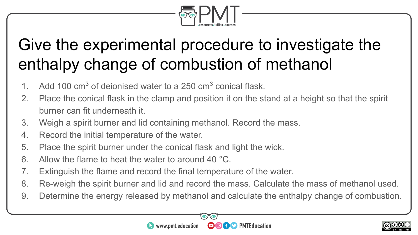

#### Give the experimental procedure to investigate the enthalpy change of combustion of methanol

- 1. Add 100  $\text{cm}^3$  of deionised water to a 250  $\text{cm}^3$  conical flask.
- 2. Place the conical flask in the clamp and position it on the stand at a height so that the spirit burner can fit underneath it.
- 3. Weigh a spirit burner and lid containing methanol. Record the mass.
- 4. Record the initial temperature of the water.
- 5. Place the spirit burner under the conical flask and light the wick.
- 6. Allow the flame to heat the water to around 40 °C.
- 7. Extinguish the flame and record the final temperature of the water.
- 8. Re-weigh the spirit burner and lid and record the mass. Calculate the mass of methanol used.
- 9. Determine the energy released by methanol and calculate the enthalpy change of combustion.

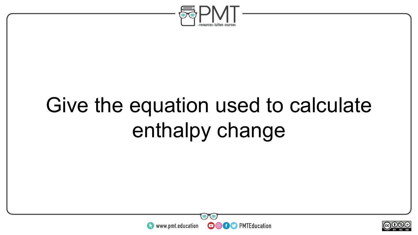

### Give the equation used to calculate enthalpy change



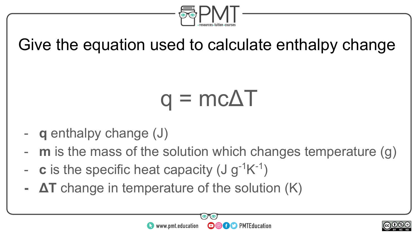

#### Give the equation used to calculate enthalpy change

## $q = mc\Delta T$

- **q** enthalpy change (J)
- **m** is the mass of the solution which changes temperature (g)
- **c** is the specific heat capacity  $(J g^{-1}K^{-1})$
- **ΔT** change in temperature of the solution (K)



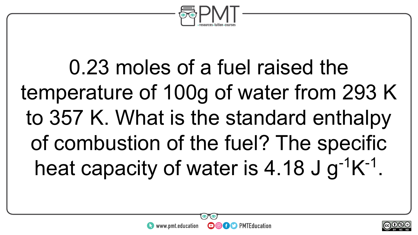

0.23 moles of a fuel raised the temperature of 100g of water from 293 K to 357 K. What is the standard enthalpy of combustion of the fuel? The specific heat capacity of water is 4.18 J  $g^{-1}K^{-1}$ .



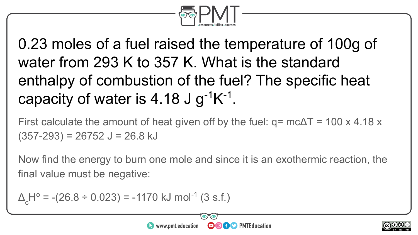

0.23 moles of a fuel raised the temperature of 100g of water from 293 K to 357 K. What is the standard enthalpy of combustion of the fuel? The specific heat capacity of water is 4.18 J  $g^{-1}K^{-1}$ .

First calculate the amount of heat given off by the fuel:  $q = mc\Delta T = 100 \times 4.18 \times$  $(357-293) = 26752$  J = 26.8 kJ

Now find the energy to burn one mole and since it is an exothermic reaction, the final value must be negative:

 $\Delta_{\rm c}$ H<sup>e</sup> = -(26.8 ÷ 0.023) = -1170 kJ mol<sup>-1</sup> (3 s.f.)



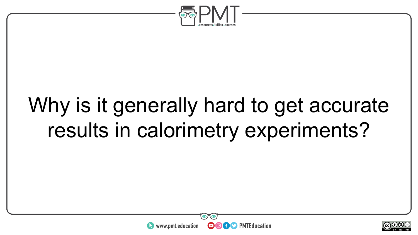

### Why is it generally hard to get accurate results in calorimetry experiments?



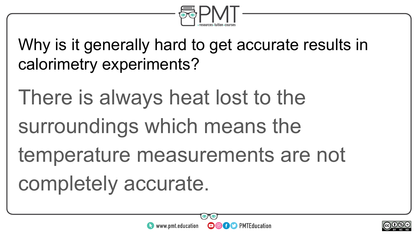

Why is it generally hard to get accurate results in calorimetry experiments?

There is always heat lost to the surroundings which means the temperature measurements are not completely accurate.



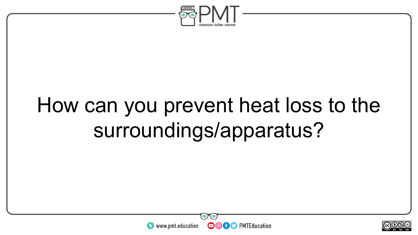

### How can you prevent heat loss to the surroundings/apparatus?



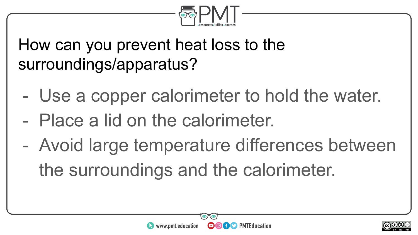

How can you prevent heat loss to the surroundings/apparatus?

- Use a copper calorimeter to hold the water.
- Place a lid on the calorimeter.
- Avoid large temperature differences between the surroundings and the calorimeter.



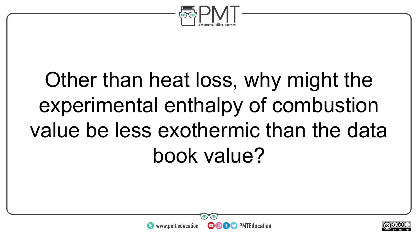

### Other than heat loss, why might the experimental enthalpy of combustion value be less exothermic than the data book value?



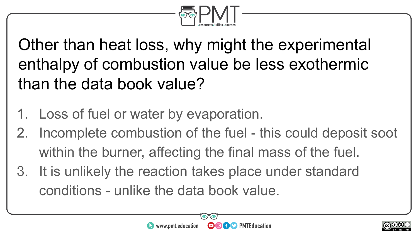

Other than heat loss, why might the experimental enthalpy of combustion value be less exothermic than the data book value?

- 1. Loss of fuel or water by evaporation.
- 2. Incomplete combustion of the fuel this could deposit soot within the burner, affecting the final mass of the fuel.
- 3. It is unlikely the reaction takes place under standard conditions - unlike the data book value.



**OCO** PMTEducation

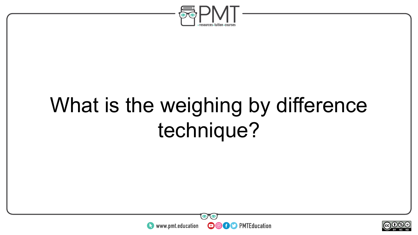

### What is the weighing by difference technique?



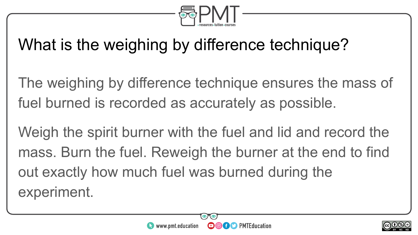

#### What is the weighing by difference technique?

The weighing by difference technique ensures the mass of fuel burned is recorded as accurately as possible.

Weigh the spirit burner with the fuel and lid and record the mass. Burn the fuel. Reweigh the burner at the end to find out exactly how much fuel was burned during the experiment.



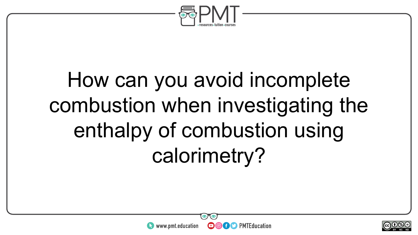

### How can you avoid incomplete combustion when investigating the enthalpy of combustion using calorimetry?